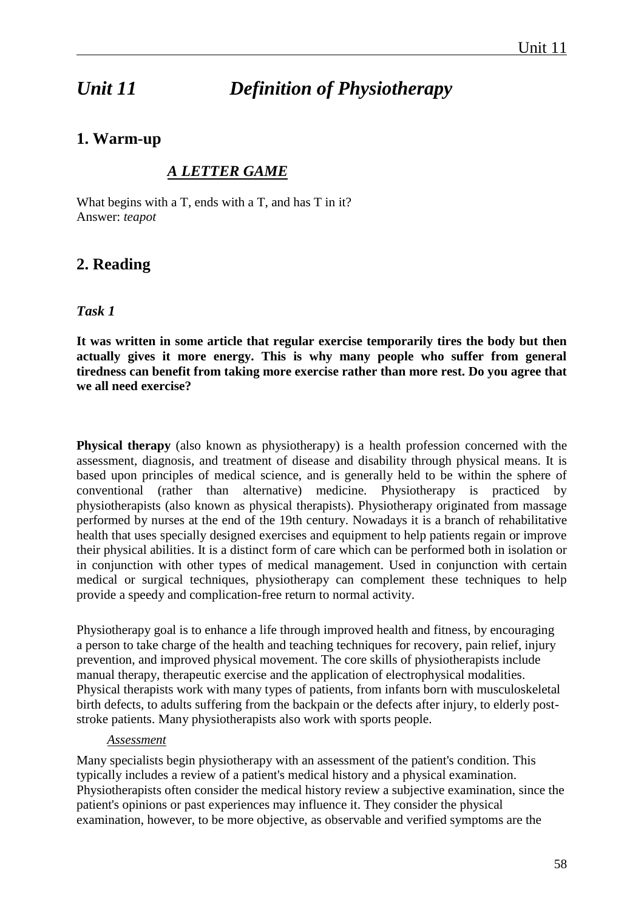# *Unit 11 Definition of Physiotherapy*

# **1. Warm-up**

# *A LETTER GAME*

What begins with a T, ends with a T, and has T in it? Answer: *teapot*

# **2. Reading**

# *Task 1*

**It was written in some article that regular exercise temporarily tires the body but then actually gives it more energy. This is why many people who suffer from general tiredness can benefit from taking more exercise rather than more rest. Do you agree that we all need exercise?** 

**Physical therapy** (also known as physiotherapy) is a [health](http://en.wikipedia.org/wiki/Health) [profession](http://en.wikipedia.org/wiki/Profession) concerned with the assessment, diagnosis, and treatment of [disease](http://en.wikipedia.org/wiki/Disease) and [disability](http://en.wikipedia.org/wiki/Disability) through physical means. It is based upon principles of [medical science,](http://en.wikipedia.org/wiki/Medical_science) and is generally held to be within the sphere of [conventional](http://en.wikipedia.org/wiki/Conventional_medicine) (rather than [alternative\)](http://en.wikipedia.org/wiki/Alternative_medicine) medicine. Physiotherapy is practiced by physiotherapists (also known as physical therapists). Physiotherapy originated from massage performed by nurses at the end of the 19th century. Nowadays it is a branch of rehabilitative health that uses specially designed exercises and equipment to help patients regain or improve their physical abilities. It is a distinct form of care which can be performed both in isolation or in conjunction with other types of medical management. Used in conjunction with certain medical or surgical techniques, physiotherapy can complement these techniques to help provide a speedy and complication-free return to normal activity.

Physiotherapy goal is to enhance a life through improved health and fitness, by encouraging a person to take charge of the health and teaching techniques for recovery, pain relief, injury prevention, and improved physical movement. The core skills of physiotherapists include manual therapy, therapeutic exercise and the application of electrophysical modalities. Physical therapists work with many types of patients, from infants born with musculoskeletal birth defects, to adults suffering from the backpain or the defects after injury, to elderly poststroke patients. Many physiotherapists also work with sports people.

#### *Assessment*

Many specialists begin physiotherapy with an assessment of the patient's condition. This typically includes a review of a patient's medical history and a physical examination. Physiotherapists often consider the medical history review a subjective examination, since the patient's opinions or past experiences may influence it. They consider the physical examination, however, to be more objective, as observable and verified symptoms are the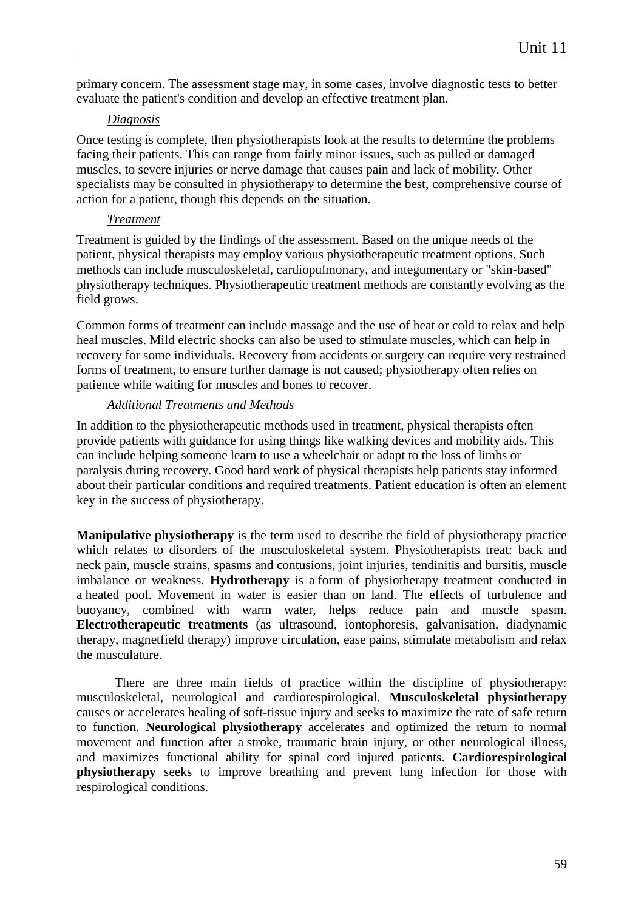primary concern. The assessment stage may, in some cases, involve diagnostic tests to better evaluate the patient's condition and develop an effective treatment plan.

#### *Diagnosis*

Once testing is complete, then physiotherapists look at the results to determine the problems facing their patients. This can range from fairly minor issues, such as pulled or damaged muscles, to severe injuries or nerve damage that causes pain and lack of mobility. Other specialists may be consulted in physiotherapy to determine the best, comprehensive course of action for a patient, though this depends on the situation.

#### *Treatment*

Treatment is guided by the findings of the assessment. Based on the unique needs of the patient, physical therapists may employ various physiotherapeutic treatment options. Such methods can include musculoskeletal, cardiopulmonary, and integumentary or "skin-based" physiotherapy techniques. Physiotherapeutic treatment methods are constantly evolving as the field grows.

Common forms of treatment can include massage and the use of heat or cold to relax and help heal muscles. Mild electric shocks can also be used to stimulate muscles, which can help in recovery for some individuals. Recovery from accidents or surgery can require very restrained forms of treatment, to ensure further damage is not caused; physiotherapy often relies on patience while waiting for muscles and bones to recover.

#### *Additional Treatments and Methods*

In addition to the physiotherapeutic methods used in treatment, physical therapists often provide patients with guidance for using things like walking devices and mobility aids. This can include helping someone learn to use a wheelchair or adapt to the loss of limbs or paralysis during recovery. Good hard work of physical therapists help patients stay informed about their particular conditions and required treatments. Patient education is often an element key in the success of physiotherapy.

**Manipulative physiotherapy** is the term used to describe the field of physiotherapy practice which relates to disorders of the musculoskeletal system. Physiotherapists treat: back and neck pain, muscle strains, spasms and contusions, joint injuries, tendinitis and bursitis, muscle imbalance or weakness. **Hydrotherapy** is a form of physiotherapy treatment conducted in a heated pool. Movement in water is easier than on land. The effects of turbulence and buoyancy, combined with warm water, helps reduce pain and muscle spasm. **Electrotherapeutic treatments** (as ultrasound, iontophoresis, galvanisation, diadynamic therapy, magnetfield therapy) improve circulation, ease pains, stimulate metabolism and relax the musculature.

There are three main fields of practice within the discipline of physiotherapy: musculoskeletal, neurological and cardiorespirological. **Musculoskeletal physiotherapy** causes or accelerates healing of soft-tissue injury and seeks to maximize the rate of safe return to function. **Neurological physiotherapy** accelerates and optimized the return to normal movement and function after a stroke, traumatic brain injury, or other neurological illness, and maximizes functional ability for spinal cord injured patients. **Cardiorespirological physiotherapy** seeks to improve breathing and prevent lung infection for those with respirological conditions.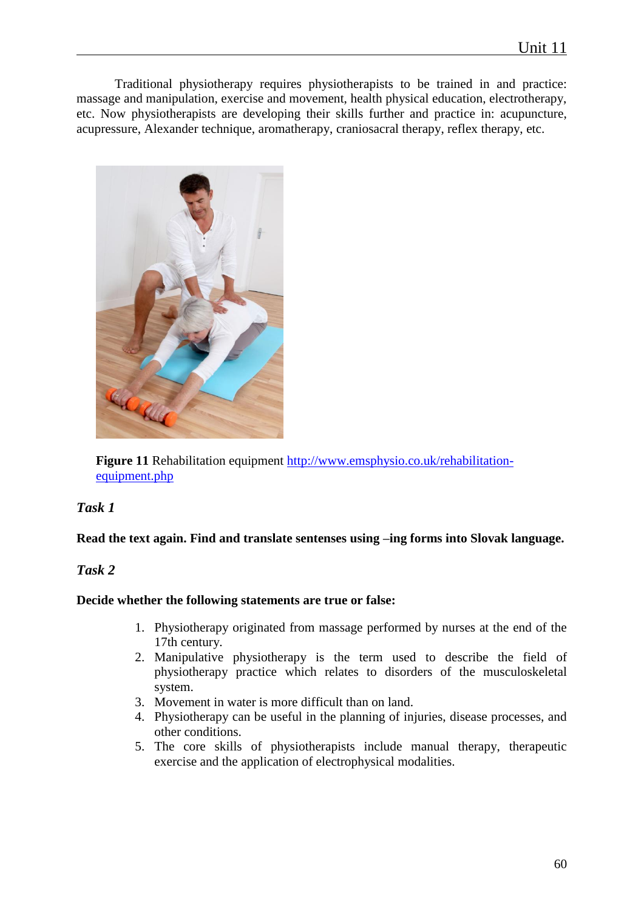Traditional physiotherapy requires physiotherapists to be trained in and practice: massage and manipulation, exercise and movement, health physical education, electrotherapy, etc. Now physiotherapists are developing their skills further and practice in: acupuncture, acupressure, Alexander technique, aromatherapy, craniosacral therapy, reflex therapy, etc.



Figure 11 Rehabilitation equipment [http://www.emsphysio.co.uk/rehabilitation](http://www.emsphysio.co.uk/rehabilitation-equipment.php)[equipment.php](http://www.emsphysio.co.uk/rehabilitation-equipment.php)

# *Task 1*

#### **Read the text again. Find and translate sentenses using –ing forms into Slovak language.**

## *Task 2*

#### **Decide whether the following statements are true or false:**

- 1. Physiotherapy originated from massage performed by nurses at the end of the 17th century*.*
- 2. Manipulative physiotherapy is the term used to describe the field of physiotherapy practice which relates to disorders of the musculoskeletal system.
- 3. Movement in water is more difficult than on land.
- 4. Physiotherapy can be useful in the planning of injuries, disease processes, and other conditions.
- 5. The core skills of physiotherapists include manual therapy, therapeutic exercise and the application of electrophysical modalities.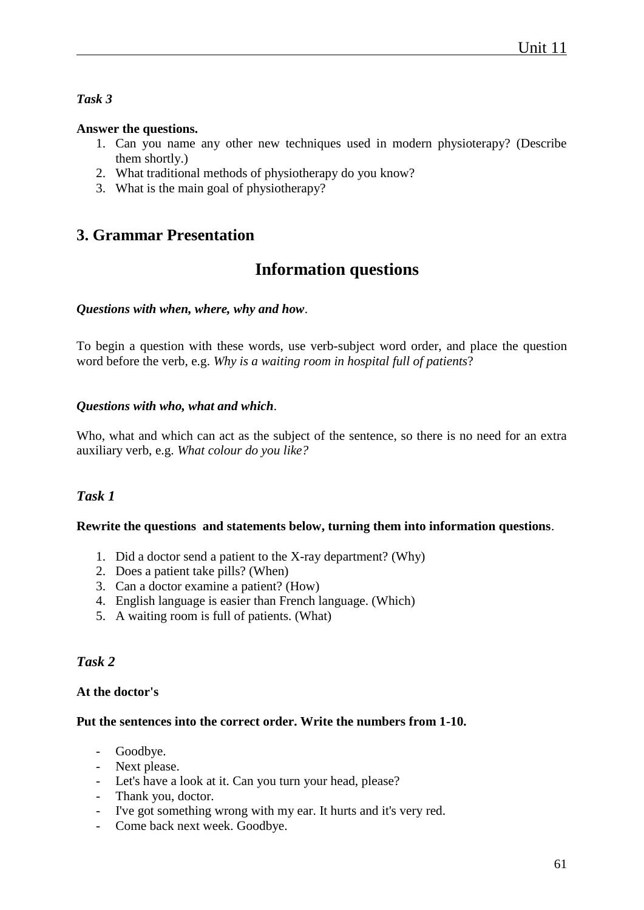# *Task 3*

## **Answer the questions.**

- 1. Can you name any other new techniques used in modern physioterapy? (Describe them shortly.)
- 2. What traditional methods of physiotherapy do you know?
- 3. What is the main goal of physiotherapy?

# **3. Grammar Presentation**

# **Information questions**

## *Questions with when, where, why and how*.

To begin a question with these words, use verb-subject word order, and place the question word before the verb, e.g. *Why is a waiting room in hospital full of patients*?

## *Questions with who, what and which*.

Who, what and which can act as the subject of the sentence, so there is no need for an extra auxiliary verb, e.g. *What colour do you like?*

# *Task 1*

#### **Rewrite the questions and statements below, turning them into information questions**.

- 1. Did a doctor send a patient to the X-ray department? (Why)
- 2. Does a patient take pills? (When)
- 3. Can a doctor examine a patient? (How)
- 4. English language is easier than French language. (Which)
- 5. A waiting room is full of patients. (What)

# *Task 2*

# **At the doctor's**

#### **Put the sentences into the correct order. Write the numbers from 1-10.**

- Goodbye.
- Next please.
- Let's have a look at it. Can you turn your head, please?
- Thank you, doctor.
- I've got something wrong with my ear. It hurts and it's very red.
- Come back next week. Goodbye.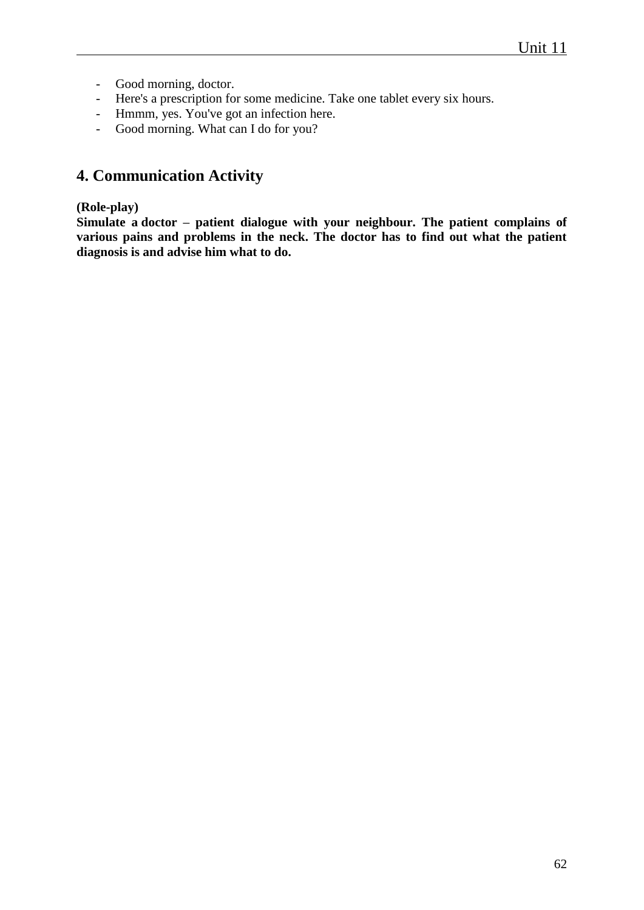- Good morning, doctor.
- Here's a prescription for some medicine. Take one tablet every six hours.
- Hmmm, yes. You've got an infection here.
- Good morning. What can I do for you?

# **4. Communication Activity**

## **(Role-play)**

**Simulate a doctor – patient dialogue with your neighbour. The patient complains of various pains and problems in the neck. The doctor has to find out what the patient diagnosis is and advise him what to do.**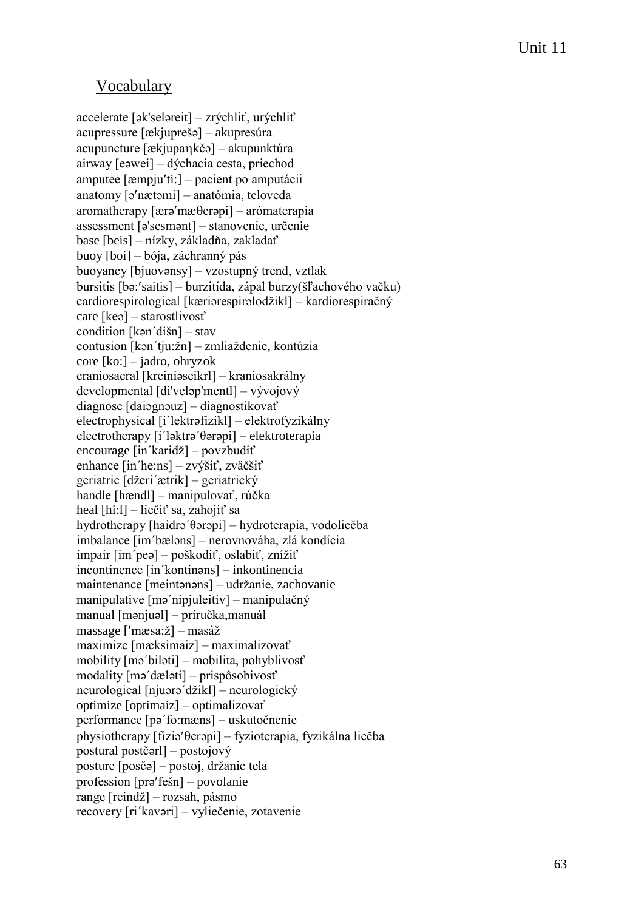# Vocabulary

accelerate [ək'seləreit] – zrýchliť, urýchliť acupressure [ækjuprešə] – akupresúra acupuncture [ækjupakčə] – akupunktúra airway [eəwei] – dýchacia cesta, priechod amputee [æmpjuti:] – pacient po amputácii anatomy [ə'nætəmi] – anatómia, teloveda  $aromatheray [ærə'mæðerəpi] - arómaterapia$ assessment [ə'sesmənt] – stanovenie, určenie base [beis] – nízky, základňa, zakladať buoy [boi] – bója, záchranný pás buoyancy [bjuovənsy] – vzostupný trend, vztlak bursitis [bəː'saitis] – burzitída, zápal burzy(šľachového vačku) cardiorespirological [kæriərespirəlodžikl] – kardiorespiračný care [keə] – starostlivosť condition [kən΄dišn] – stav contusion [kən΄tju:žn] – zmliaždenie, kontúzia core [ko:] – jadro, ohryzok craniosacral [kreiniəseikrl] – kraniosakrálny developmental [di'veləp'mentl] – vývojový diagnose [daiəgnəuz] – diagnostikovať electrophysical [i΄lektrəfizikl] – elektrofyzikálny electrotherapy [i΄ləktrə΄θərəpi] – elektroterapia encourage [in΄karidž] – povzbudiť enhance [in΄he:ns] – zvýšiť, zväčšiť geriatric [džeri΄ætrik] – geriatrický handle [hændl] – manipulovať, rúčka heal [hi:l] – liečiť sa, zahojiť sa hydrotherapy [haidrə΄θərəpi] – hydroterapia, vodoliečba imbalance [im΄bæləns] – nerovnováha, zlá kondícia impair [im΄peə] – poškodiť, oslabiť, znížiť incontinence [in΄kontinəns] – inkontinencia maintenance [meintənəns] – udržanie, zachovanie manipulative [mə΄nipjuleitiv] – manipulačný manual [mənjuəl] – príručka,manuál massage [mæsa:ž] – masáž maximize [mæksimaiz] – maximalizovať mobility [mə΄biləti] – mobilita, pohyblivosť modality [mə΄dæləti] – prispôsobivosť neurological [njuərə΄džikl] – neurologický optimize [optimaiz] – optimalizovať performance [pə΄fo:mæns] – uskutočnenie physiotherapy [fiziə'θerəpi] – fyzioterapia, fyzikálna liečba postural postčərl] – postojový posture [posčə] – postoj, držanie tela profession [prə'fešn] – povolanie range [reindž] – rozsah, pásmo recovery [ri΄kavəri] – vyliečenie, zotavenie